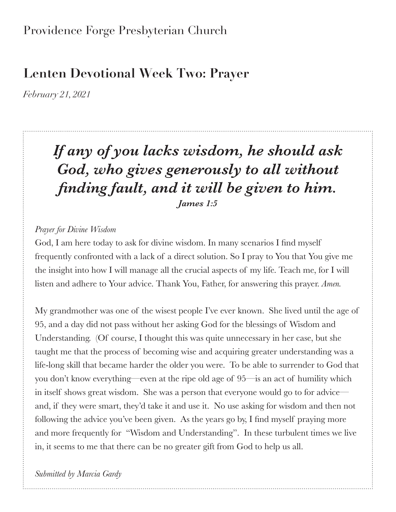### Providence Forge Presbyterian Church

## **Lenten Devotional Week Two: Prayer**

*February 21, 2021*

# *If any of you lacks wisdom, he should ask God, who gives generously to all without finding fault, and it will be given to him. James 1:5*

### *Prayer for Divine Wisdom*

God, I am here today to ask for divine wisdom. In many scenarios I find myself frequently confronted with a lack of a direct solution. So I pray to You that You give me the insight into how I will manage all the crucial aspects of my life. Teach me, for I will listen and adhere to Your advice. Thank You, Father, for answering this prayer. *Amen.*

My grandmother was one of the wisest people I've ever known. She lived until the age of 95, and a day did not pass without her asking God for the blessings of Wisdom and Understanding. (Of course, I thought this was quite unnecessary in her case, but she taught me that the process of becoming wise and acquiring greater understanding was a life-long skill that became harder the older you were. To be able to surrender to God that you don't know everything—even at the ripe old age of 95—is an act of humility which in itself shows great wisdom. She was a person that everyone would go to for advice and, if they were smart, they'd take it and use it. No use asking for wisdom and then not following the advice you've been given. As the years go by, I find myself praying more and more frequently for "Wisdom and Understanding". In these turbulent times we live in, it seems to me that there can be no greater gift from God to help us all.

*Submitted by Marcia Gardy*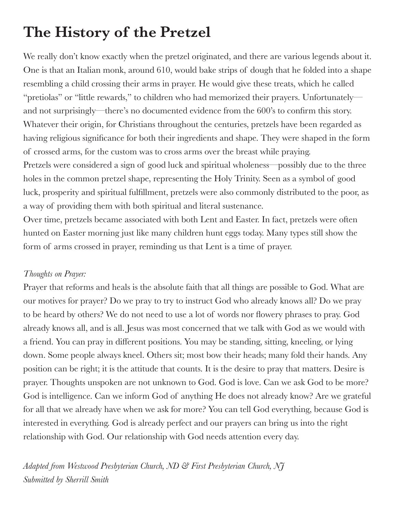# **The History of the Pretzel**

We really don't know exactly when the pretzel originated, and there are various legends about it. One is that an Italian monk, around 610, would bake strips of dough that he folded into a shape resembling a child crossing their arms in prayer. He would give these treats, which he called "pretiolas" or "little rewards," to children who had memorized their prayers. Unfortunately and not surprisingly—there's no documented evidence from the 600's to confirm this story. Whatever their origin, for Christians throughout the centuries, pretzels have been regarded as having religious significance for both their ingredients and shape. They were shaped in the form of crossed arms, for the custom was to cross arms over the breast while praying. Pretzels were considered a sign of good luck and spiritual wholeness—possibly due to the three holes in the common pretzel shape, representing the Holy Trinity. Seen as a symbol of good luck, prosperity and spiritual fulfillment, pretzels were also commonly distributed to the poor, as a way of providing them with both spiritual and literal sustenance.

Over time, pretzels became associated with both Lent and Easter. In fact, pretzels were often hunted on Easter morning just like many children hunt eggs today. Many types still show the form of arms crossed in prayer, reminding us that Lent is a time of prayer.

### *Thoughts on Prayer:*

Prayer that reforms and heals is the absolute faith that all things are possible to God. What are our motives for prayer? Do we pray to try to instruct God who already knows all? Do we pray to be heard by others? We do not need to use a lot of words nor flowery phrases to pray. God already knows all, and is all. Jesus was most concerned that we talk with God as we would with a friend. You can pray in different positions. You may be standing, sitting, kneeling, or lying down. Some people always kneel. Others sit; most bow their heads; many fold their hands. Any position can be right; it is the attitude that counts. It is the desire to pray that matters. Desire is prayer. Thoughts unspoken are not unknown to God. God is love. Can we ask God to be more? God is intelligence. Can we inform God of anything He does not already know? Are we grateful for all that we already have when we ask for more? You can tell God everything, because God is interested in everything. God is already perfect and our prayers can bring us into the right relationship with God. Our relationship with God needs attention every day.

*Adapted from Westwood Presbyterian Church, ND & First Presbyterian Church, NJ Submitted by Sherrill Smith*